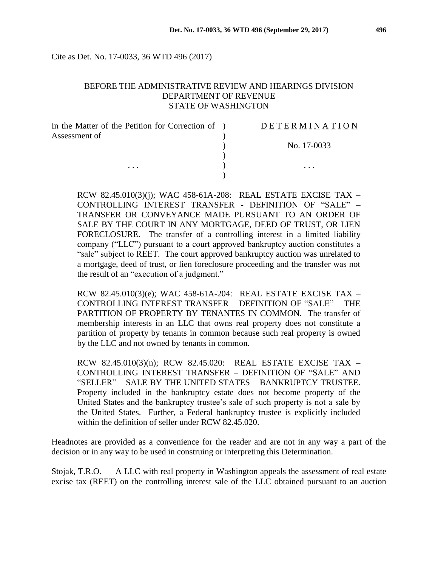Cite as Det. No. 17-0033, 36 WTD 496 (2017)

#### BEFORE THE ADMINISTRATIVE REVIEW AND HEARINGS DIVISION DEPARTMENT OF REVENUE STATE OF WASHINGTON

| In the Matter of the Petition for Correction of ) | <b>DETERMINATION</b> |
|---------------------------------------------------|----------------------|
| Assessment of<br>$\cdots$                         |                      |
|                                                   | No. 17-0033          |
|                                                   |                      |
|                                                   | $\cdots$             |
|                                                   |                      |

RCW 82.45.010(3)(j); WAC 458-61A-208: REAL ESTATE EXCISE TAX – CONTROLLING INTEREST TRANSFER - DEFINITION OF "SALE" – TRANSFER OR CONVEYANCE MADE PURSUANT TO AN ORDER OF SALE BY THE COURT IN ANY MORTGAGE, DEED OF TRUST, OR LIEN FORECLOSURE. The transfer of a controlling interest in a limited liability company ("LLC") pursuant to a court approved bankruptcy auction constitutes a "sale" subject to REET. The court approved bankruptcy auction was unrelated to a mortgage, deed of trust, or lien foreclosure proceeding and the transfer was not the result of an "execution of a judgment."

RCW 82.45.010(3)(e); WAC 458-61A-204: REAL ESTATE EXCISE TAX – CONTROLLING INTEREST TRANSFER – DEFINITION OF "SALE" – THE PARTITION OF PROPERTY BY TENANTES IN COMMON. The transfer of membership interests in an LLC that owns real property does not constitute a partition of property by tenants in common because such real property is owned by the LLC and not owned by tenants in common.

RCW 82.45.010(3)(n); RCW 82.45.020: REAL ESTATE EXCISE TAX – CONTROLLING INTEREST TRANSFER – DEFINITION OF "SALE" AND "SELLER" – SALE BY THE UNITED STATES – BANKRUPTCY TRUSTEE. Property included in the bankruptcy estate does not become property of the United States and the bankruptcy trustee's sale of such property is not a sale by the United States. Further, a Federal bankruptcy trustee is explicitly included within the definition of seller under RCW 82.45.020.

Headnotes are provided as a convenience for the reader and are not in any way a part of the decision or in any way to be used in construing or interpreting this Determination.

Stojak, T.R.O. – A LLC with real property in Washington appeals the assessment of real estate excise tax (REET) on the controlling interest sale of the LLC obtained pursuant to an auction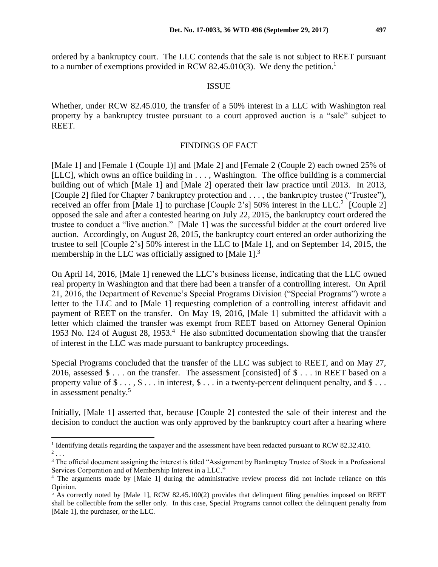ordered by a bankruptcy court. The LLC contends that the sale is not subject to REET pursuant to a number of exemptions provided in RCW 82.45.010(3). We deny the petition.<sup>1</sup>

#### ISSUE

Whether, under RCW 82.45.010, the transfer of a 50% interest in a LLC with Washington real property by a bankruptcy trustee pursuant to a court approved auction is a "sale" subject to REET.

### FINDINGS OF FACT

[Male 1] and [Female 1 (Couple 1)] and [Male 2] and [Female 2 (Couple 2) each owned 25% of [LLC], which owns an office building in . . . , Washington. The office building is a commercial building out of which [Male 1] and [Male 2] operated their law practice until 2013. In 2013, [Couple 2] filed for Chapter 7 bankruptcy protection and . . . , the bankruptcy trustee ("Trustee"), received an offer from [Male 1] to purchase [Couple 2's] 50% interest in the LLC.<sup>2</sup> [Couple 2] opposed the sale and after a contested hearing on July 22, 2015, the bankruptcy court ordered the trustee to conduct a "live auction." [Male 1] was the successful bidder at the court ordered live auction. Accordingly, on August 28, 2015, the bankruptcy court entered an order authorizing the trustee to sell [Couple 2's] 50% interest in the LLC to [Male 1], and on September 14, 2015, the membership in the LLC was officially assigned to [Male 1].<sup>3</sup>

On April 14, 2016, [Male 1] renewed the LLC's business license, indicating that the LLC owned real property in Washington and that there had been a transfer of a controlling interest. On April 21, 2016, the Department of Revenue's Special Programs Division ("Special Programs") wrote a letter to the LLC and to [Male 1] requesting completion of a controlling interest affidavit and payment of REET on the transfer. On May 19, 2016, [Male 1] submitted the affidavit with a letter which claimed the transfer was exempt from REET based on Attorney General Opinion 1953 No. 124 of August 28, 1953.<sup>4</sup> He also submitted documentation showing that the transfer of interest in the LLC was made pursuant to bankruptcy proceedings.

Special Programs concluded that the transfer of the LLC was subject to REET, and on May 27, 2016, assessed  $\$ ... on the transfer. The assessment [consisted] of  $\$ ... in REET based on a property value of  $\$\ldots$ ,  $\$\ldots$  in interest,  $\$\ldots$  in a twenty-percent delinquent penalty, and  $\$\ldots$ in assessment penalty.<sup>5</sup>

Initially, [Male 1] asserted that, because [Couple 2] contested the sale of their interest and the decision to conduct the auction was only approved by the bankruptcy court after a hearing where

 $\overline{a}$ 

<sup>&</sup>lt;sup>1</sup> Identifying details regarding the taxpayer and the assessment have been redacted pursuant to RCW 82.32.410.  $2$ ...

<sup>&</sup>lt;sup>3</sup> The official document assigning the interest is titled "Assignment by Bankruptcy Trustee of Stock in a Professional Services Corporation and of Membership Interest in a LLC."

<sup>4</sup> The arguments made by [Male 1] during the administrative review process did not include reliance on this Opinion.

<sup>5</sup> As correctly noted by [Male 1], RCW 82.45.100(2) provides that delinquent filing penalties imposed on REET shall be collectible from the seller only. In this case, Special Programs cannot collect the delinquent penalty from [Male 1], the purchaser, or the LLC.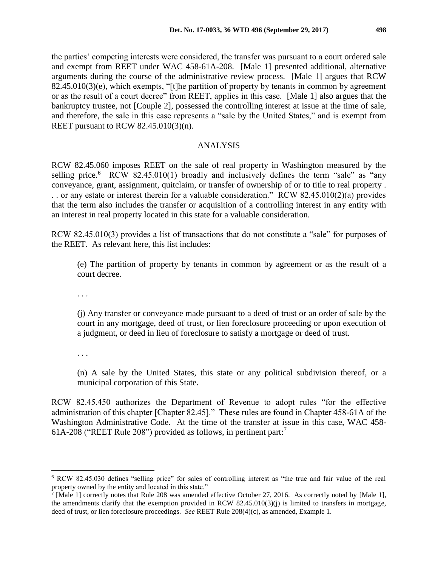the parties' competing interests were considered, the transfer was pursuant to a court ordered sale and exempt from REET under WAC 458-61A-208. [Male 1] presented additional, alternative arguments during the course of the administrative review process. [Male 1] argues that RCW 82.45.010(3)(e), which exempts, "[t]he partition of property by tenants in common by agreement or as the result of a court decree" from REET, applies in this case. [Male 1] also argues that the bankruptcy trustee, not [Couple 2], possessed the controlling interest at issue at the time of sale, and therefore, the sale in this case represents a "sale by the United States," and is exempt from REET pursuant to RCW 82.45.010(3)(n).

# ANALYSIS

RCW 82.45.060 imposes REET on the sale of real property in Washington measured by the selling price.<sup>6</sup> RCW 82.45.010(1) broadly and inclusively defines the term "sale" as "any conveyance, grant, assignment, quitclaim, or transfer of ownership of or to title to real property . . . or any estate or interest therein for a valuable consideration." RCW 82.45.010(2)(a) provides that the term also includes the transfer or acquisition of a controlling interest in any entity with an interest in real property located in this state for a valuable consideration.

RCW 82.45.010(3) provides a list of transactions that do not constitute a "sale" for purposes of the REET. As relevant here, this list includes:

(e) The partition of property by tenants in common by agreement or as the result of a court decree.

. . .

(j) Any transfer or conveyance made pursuant to a deed of trust or an order of sale by the court in any mortgage, deed of trust, or lien foreclosure proceeding or upon execution of a judgment, or deed in lieu of foreclosure to satisfy a mortgage or deed of trust.

. . .

 $\overline{a}$ 

(n) A sale by the United States, this state or any political subdivision thereof, or a municipal corporation of this State.

RCW 82.45.450 authorizes the Department of Revenue to adopt rules "for the effective administration of this chapter [Chapter 82.45]." These rules are found in Chapter 458-61A of the Washington Administrative Code. At the time of the transfer at issue in this case, WAC 458- 61A-208 ("REET Rule 208") provided as follows, in pertinent part:<sup>7</sup>

<sup>6</sup> RCW 82.45.030 defines "selling price" for sales of controlling interest as "the true and fair value of the real property owned by the entity and located in this state."

<sup>7</sup> [Male 1] correctly notes that Rule 208 was amended effective October 27, 2016. As correctly noted by [Male 1], the amendments clarify that the exemption provided in RCW 82.45.010(3)(j) is limited to transfers in mortgage, deed of trust, or lien foreclosure proceedings. *See* REET Rule 208(4)(c), as amended, Example 1.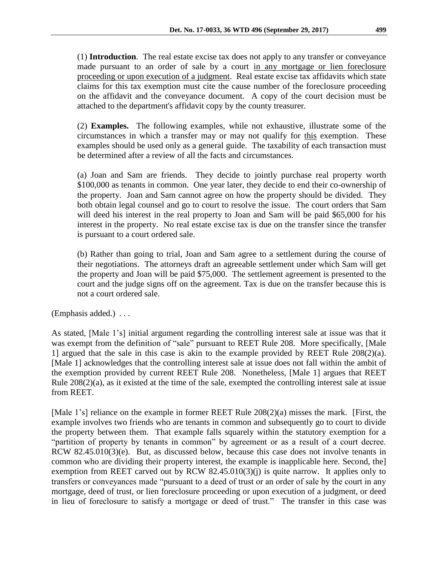(1) **Introduction**. The real estate excise tax does not apply to any transfer or conveyance made pursuant to an order of sale by a court in any mortgage or lien foreclosure proceeding or upon execution of a judgment. Real estate excise tax affidavits which state claims for this tax exemption must cite the cause number of the foreclosure proceeding on the affidavit and the conveyance document. A copy of the court decision must be attached to the department's affidavit copy by the county treasurer.

(2) **Examples.** The following examples, while not exhaustive, illustrate some of the circumstances in which a transfer may or may not qualify for this exemption. These examples should be used only as a general guide. The taxability of each transaction must be determined after a review of all the facts and circumstances.

(a) Joan and Sam are friends. They decide to jointly purchase real property worth \$100,000 as tenants in common. One year later, they decide to end their co-ownership of the property. Joan and Sam cannot agree on how the property should be divided. They both obtain legal counsel and go to court to resolve the issue. The court orders that Sam will deed his interest in the real property to Joan and Sam will be paid \$65,000 for his interest in the property. No real estate excise tax is due on the transfer since the transfer is pursuant to a court ordered sale.

(b) Rather than going to trial, Joan and Sam agree to a settlement during the course of their negotiations. The attorneys draft an agreeable settlement under which Sam will get the property and Joan will be paid \$75,000. The settlement agreement is presented to the court and the judge signs off on the agreement. Tax is due on the transfer because this is not a court ordered sale.

(Emphasis added.) *. . .*

As stated, [Male 1's] initial argument regarding the controlling interest sale at issue was that it was exempt from the definition of "sale" pursuant to REET Rule 208. More specifically, [Male 1] argued that the sale in this case is akin to the example provided by REET Rule 208(2)(a). [Male 1] acknowledges that the controlling interest sale at issue does not fall within the ambit of the exemption provided by current REET Rule 208. Nonetheless, [Male 1] argues that REET Rule 208(2)(a), as it existed at the time of the sale, exempted the controlling interest sale at issue from REET.

[Male 1's] reliance on the example in former REET Rule 208(2)(a) misses the mark. [First, the example involves two friends who are tenants in common and subsequently go to court to divide the property between them. That example falls squarely within the statutory exemption for a "partition of property by tenants in common" by agreement or as a result of a court decree. RCW 82.45.010(3)(e). But, as discussed below, because this case does not involve tenants in common who are dividing their property interest, the example is inapplicable here. Second, the] exemption from REET carved out by RCW 82.45.010(3)(j) is quite narrow. It applies only to transfers or conveyances made "pursuant to a deed of trust or an order of sale by the court in any mortgage, deed of trust, or lien foreclosure proceeding or upon execution of a judgment, or deed in lieu of foreclosure to satisfy a mortgage or deed of trust." The transfer in this case was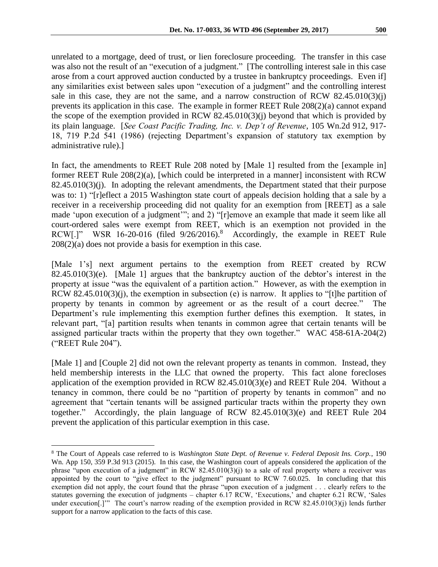unrelated to a mortgage, deed of trust, or lien foreclosure proceeding. The transfer in this case was also not the result of an "execution of a judgment." [The controlling interest sale in this case arose from a court approved auction conducted by a trustee in bankruptcy proceedings. Even if] any similarities exist between sales upon "execution of a judgment" and the controlling interest sale in this case, they are not the same, and a narrow construction of RCW  $82.45.010(3)(i)$ prevents its application in this case. The example in former REET Rule 208(2)(a) cannot expand the scope of the exemption provided in RCW  $82.45.010(3)(i)$  beyond that which is provided by its plain language. [*See Coast Pacific Trading, Inc. v. Dep't of Revenue*, 105 Wn.2d 912, 917- 18, 719 P.2d 541 (1986) (rejecting Department's expansion of statutory tax exemption by administrative rule).]

In fact, the amendments to REET Rule 208 noted by [Male 1] resulted from the [example in] former REET Rule  $208(2)(a)$ , [which could be interpreted in a manner] inconsistent with RCW 82.45.010(3)(j). In adopting the relevant amendments, the Department stated that their purpose was to: 1) "[r]eflect a 2015 Washington state court of appeals decision holding that a sale by a receiver in a receivership proceeding did not quality for an exemption from [REET] as a sale made 'upon execution of a judgment'"; and 2) "[r]emove an example that made it seem like all court-ordered sales were exempt from REET, which is an exemption not provided in the RCW[.]" WSR 16-20-016 (filed 9/26/2016).<sup>8</sup> Accordingly, the example in REET Rule 208(2)(a) does not provide a basis for exemption in this case.

[Male 1's] next argument pertains to the exemption from REET created by RCW  $82.45.010(3)(e)$ . [Male 1] argues that the bankruptcy auction of the debtor's interest in the property at issue "was the equivalent of a partition action." However, as with the exemption in RCW 82.45.010(3)(j), the exemption in subsection (e) is narrow. It applies to "[t]he partition of property by tenants in common by agreement or as the result of a court decree." The Department's rule implementing this exemption further defines this exemption. It states, in relevant part, "[a] partition results when tenants in common agree that certain tenants will be assigned particular tracts within the property that they own together." WAC 458-61A-204(2) ("REET Rule 204").

[Male 1] and [Couple 2] did not own the relevant property as tenants in common. Instead, they held membership interests in the LLC that owned the property. This fact alone forecloses application of the exemption provided in RCW 82.45.010(3)(e) and REET Rule 204. Without a tenancy in common, there could be no "partition of property by tenants in common" and no agreement that "certain tenants will be assigned particular tracts within the property they own together." Accordingly, the plain language of RCW 82.45.010(3)(e) and REET Rule 204 prevent the application of this particular exemption in this case.

 $\overline{a}$ 

<sup>8</sup> The Court of Appeals case referred to is *Washington State Dept. of Revenue v. Federal Deposit Ins. Corp.*, 190 Wn. App 150, 359 P.3d 913 (2015). In this case, the Washington court of appeals considered the application of the phrase "upon execution of a judgment" in RCW 82.45.010(3)(j) to a sale of real property where a receiver was appointed by the court to "give effect to the judgment" pursuant to RCW 7.60.025. In concluding that this exemption did not apply, the court found that the phrase "upon execution of a judgment . . . clearly refers to the statutes governing the execution of judgments – chapter 6.17 RCW, 'Executions,' and chapter 6.21 RCW, 'Sales under execution[.]'" The court's narrow reading of the exemption provided in RCW 82.45.010(3)(j) lends further support for a narrow application to the facts of this case.